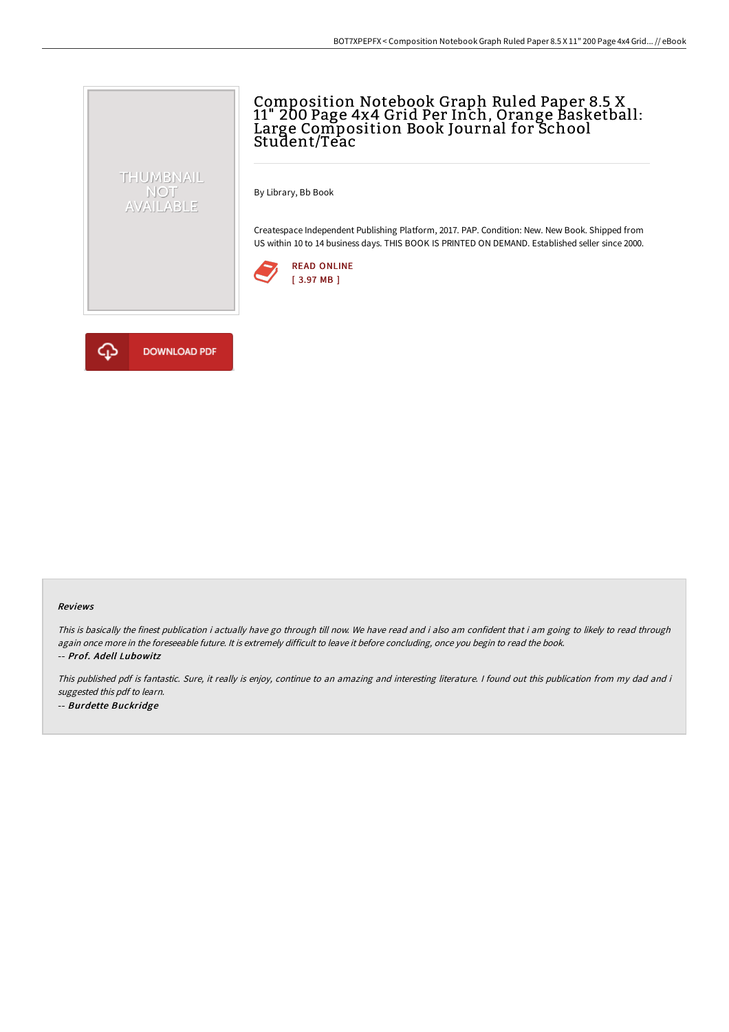## Composition Notebook Graph Ruled Paper 8.5 X 11" 200 Page 4x4 Grid Per Inch, Orange Basketball: Large Composition Book Journal for School Student/Teac

By Library, Bb Book

Createspace Independent Publishing Platform, 2017. PAP. Condition: New. New Book. Shipped from US within 10 to 14 business days. THIS BOOK IS PRINTED ON DEMAND. Established seller since 2000.





THUMBNAIL NOT<br>AVAILABLE

## Reviews

This is basically the finest publication i actually have go through till now. We have read and i also am confident that i am going to likely to read through again once more in the foreseeable future. It is extremely difficult to leave it before concluding, once you begin to read the book. -- Prof. Adell Lubowitz

This published pdf is fantastic. Sure, it really is enjoy, continue to an amazing and interesting literature. <sup>I</sup> found out this publication from my dad and i suggested this pdf to learn. -- Burdette Buckridge